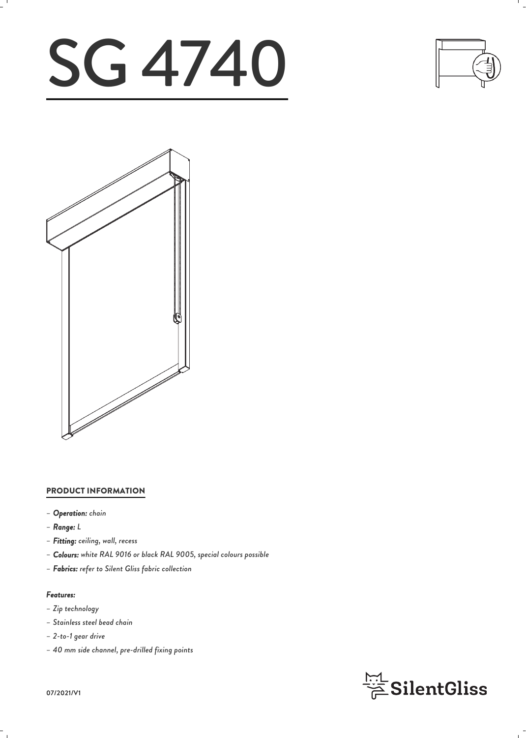# SG 4740





### PRODUCT INFORMATION

- *– Operation: chain*
- *– Range: L*
- *– Fitting: ceiling, wall, recess*
- *– Colours: white RAL 9016 or black RAL 9005, special colours possible*
- *– Fabrics: refer to Silent Gliss fabric collection*

#### *Features:*

- *– Zip technology*
- *– Stainless steel bead chain*
- *– 2-to-1 gear drive*
- *– 40 mm side channel, pre-drilled fixing points*



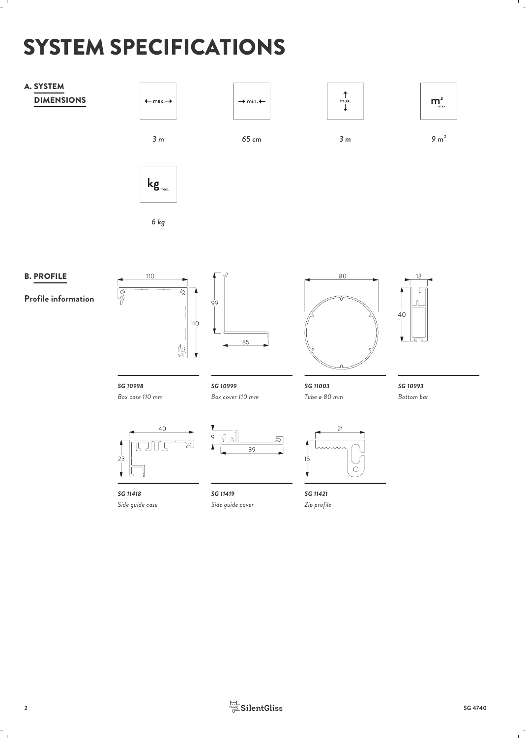## SYSTEM SPECIFICATIONS

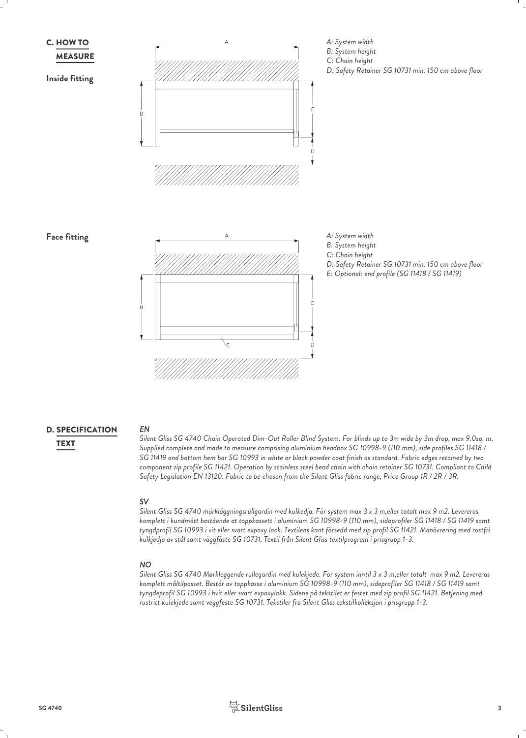

### D. SPECIFICATION EN EN

*EN Silent Gliss SG 4740 Chain Operated Dim-Out Roller Blind System. For blinds up to 3m wide by 3m drop, max 9.0sq. m. Supplied complete and made to measure comprising aluminium headbox SG 10998-9 (110 mm), side profiles SG 11418 /* TEXT *SG 11419 and bottom hem bar SG 10993 in white or black powder coat finish as standard. Fabric edges retained by two component zip profile SG 11421. Operation by stainless steel bead chain with chain retainer SG 10731. Compliant to Child Safety Legislation EN 13120. Fabric to be chosen from the Silent Gliss fabric range, Price Group 1R / 2R / 3R.*

### *SV*

*Silent Gliss SG 4740 mörkläggningsrullgardin med kulkedja. För system max 3 x 3 m,eller totalt max 9 m2. Levereras komplett i kundmått bestående at toppkassett i aluminium SG 10998-9 (110 mm), sidoprofiler SG 11418 / SG 11419 samt tyngdprofil SG 10993 i vit eller svart expoxy lack. Textilens kant försedd med zip profil SG 11421. Manövrering med rostfri kulkjedja av stål samt väggfäste SG 10731. Textil från Silent Gliss textilprogram i prisgrupp 1-3.*

### *NO*

*Silent Gliss SG 4740 Mørkleggende rullegardin med kulekjede. For system inntil 3 x 3 m,eller totalt max 9 m2. Levereras komplett måltilpasset. Består av toppkasse i aluminium SG 10998-9 (110 mm), sideprofiler SG 11418 / SG 11419 samt tyngdeprofil SG 10993 i hvit eller svart expoxylakk. Sidene på tekstilet er festet med zip profil SG 11421. Betjening med rustritt kulekjede samt veggfeste SG 10731. Tekstiler fra Silent Gliss tekstilkolleksjon i prisgrupp 1-3.*

![](_page_2_Picture_10.jpeg)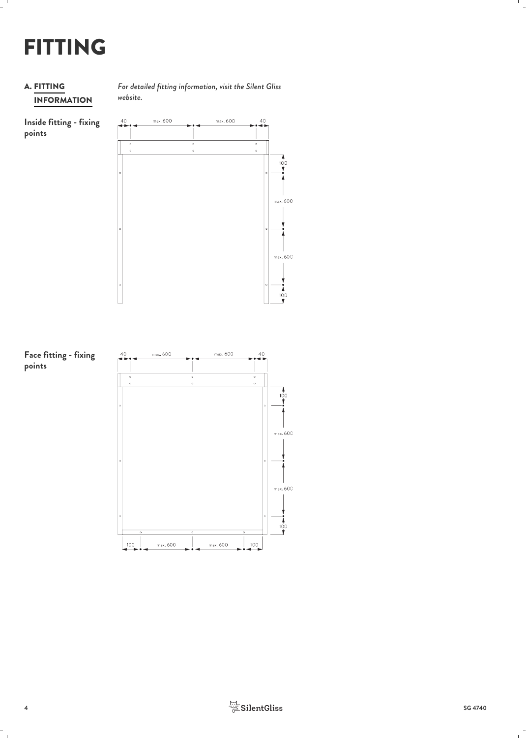### FITTING

### INFORMATION **A. FITTING**

*For detailed fitting information, visit the Silent Gliss* FITTING *website.*

 $\frac{40}{1}$ 

 $\frac{1}{100}$  $\blacktriangle$ 

 $max.600$ 

V

 $max.600$ 

 $\frac{1}{00}$ Ý

 $\overline{\phantom{0}}$  $\ddot{\phantom{0}}$ 

Inside fitting - fixing  $\underset{2}{40}$  max.600  $\longrightarrow$  max.600 **points**  $\overline{a}$  $\overline{\phantom{0}}$ **Face fitting - fixing**  $\underset{40}{40}$   $\underset{42}{\text{max.600}}$ **points**  $\overline{\phantom{0}}$ 

![](_page_3_Figure_4.jpeg)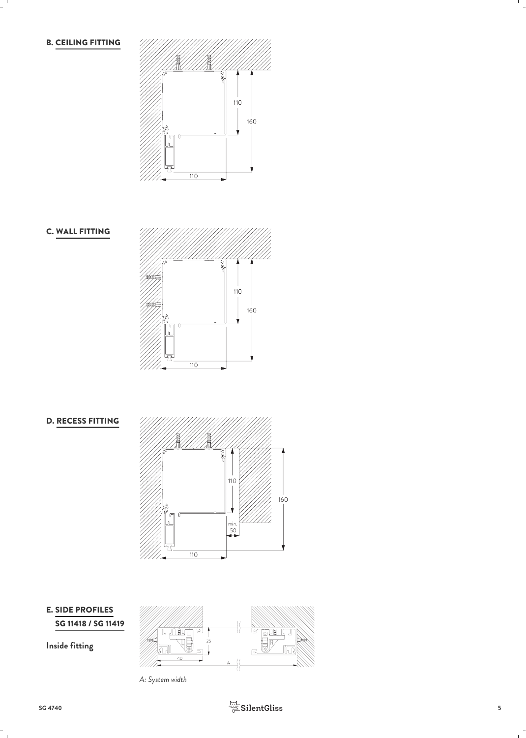B. CEILING FITTING

![](_page_4_Figure_1.jpeg)

### C. WALL FITTING

![](_page_4_Figure_3.jpeg)

D. RECESS FITTING

![](_page_4_Figure_5.jpeg)

![](_page_4_Figure_6.jpeg)

*A: System width*

### $\frac{\sum_{i=1}^{N}1}{2}$ SilentGliss 5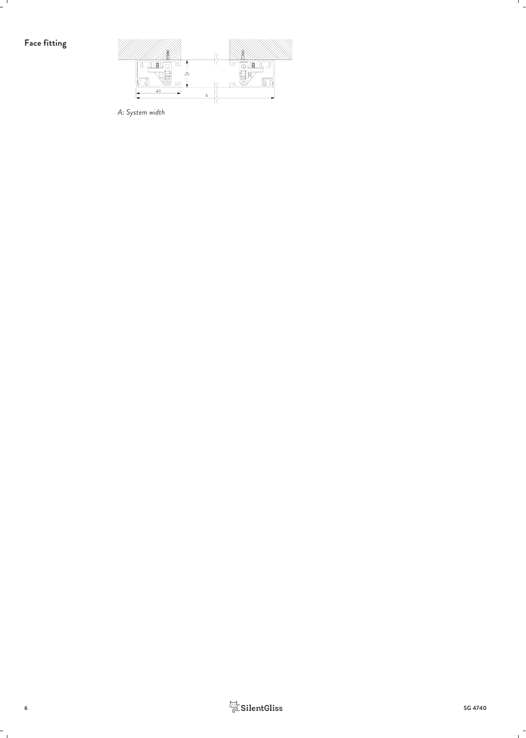$\overline{6}$ 

![](_page_5_Figure_1.jpeg)

A: System width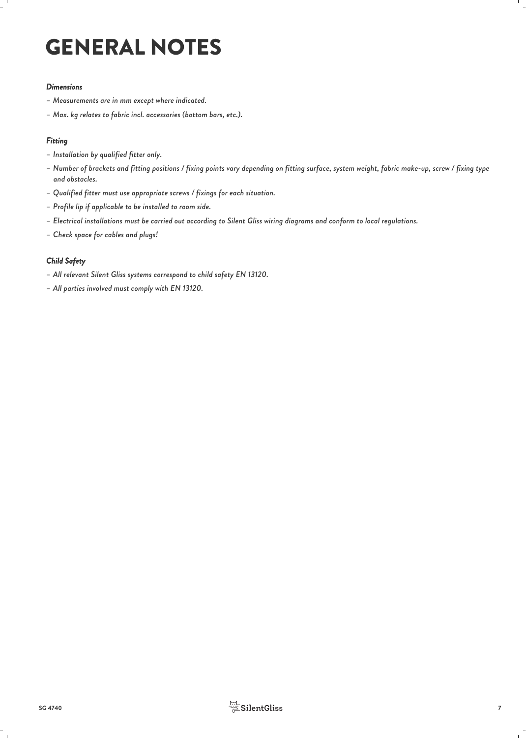### GENERAL NOTES

#### *Dimensions*

- *– Measurements are in mm except where indicated.*
- *– Max. kg relates to fabric incl. accessories (bottom bars, etc.).*

### *Fitting*

- *– Installation by qualified fitter only.*
- *– Number of brackets and fitting positions / fixing points vary depending on fitting surface, system weight, fabric make-up, screw / fixing type and obstacles.*
- *– Qualified fitter must use appropriate screws / fixings for each situation.*
- *– Profile lip if applicable to be installed to room side.*
- *– Electrical installations must be carried out according to Silent Gliss wiring diagrams and conform to local regulations.*
- *– Check space for cables and plugs!*

### *Child Safety*

- *– All relevant Silent Gliss systems correspond to child safety EN 13120.*
- *– All parties involved must comply with EN 13120.*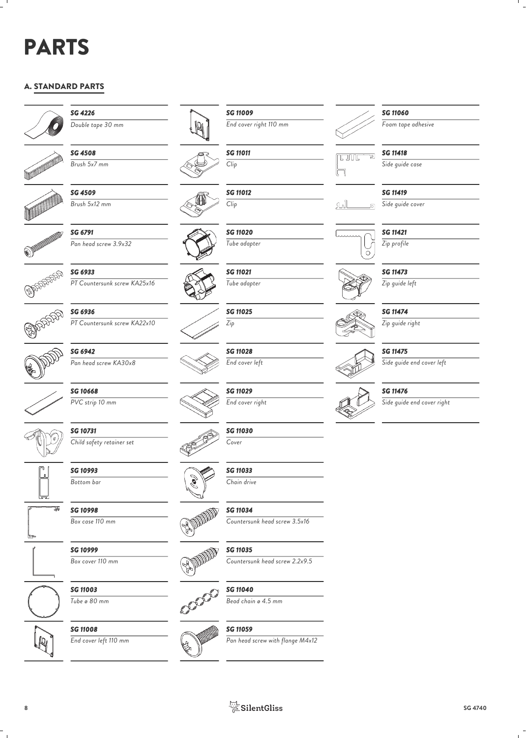### PARTS

### A. STANDARD PARTS

![](_page_7_Picture_2.jpeg)

*SG 4226 Double tape 30 mm End cover right 110 mm*

*SG 4508 Brush 5x7 mm*

*Brush 5x12 mm*

![](_page_7_Picture_4.jpeg)

![](_page_7_Picture_6.jpeg)

ED DOCK

*SG 6791 Pan head screw 3.9x32*

*SG 6933 PT Countersunk screw KA25x16*

*SG 6936 PT Countersunk screw KA22x10*

*SG 6942*

*SG 10668 PVC strip 10 mm*

![](_page_7_Picture_11.jpeg)

*SG 10731 Child safety retainer set*

*Pan head screw KA30x8*

*SG 10993 Bottom bar*

<u>가인</u>

*SG 10998 Box case 110 mm*

![](_page_7_Picture_15.jpeg)

*SG 11003*

*SG 11008*

*End cover left 110 mm*

 $\mathbb{R}$ 

![](_page_7_Picture_19.jpeg)

![](_page_7_Picture_20.jpeg)

![](_page_7_Picture_21.jpeg)

![](_page_7_Picture_22.jpeg)

*SG 11021 Tube adapter*

*Clip*  $\left| \begin{matrix} 1 & 0 & 0 \\ 0 & 0 & 0 \\ 0 & 0 & 0 \\ 0 & 0 & 0 \\ 0 & 0 & 0 \\ 0 & 0 & 0 \\ 0 & 0 & 0 \\ 0 & 0 & 0 & 0 \\ 0 & 0 & 0 & 0 \\ 0 & 0 & 0 & 0 \\ 0 & 0 & 0 & 0 \\ 0 & 0 & 0 & 0 & 0 \\ 0 & 0 & 0 & 0 & 0 \\ 0 & 0 & 0 & 0 & 0 \\ 0 & 0 & 0 & 0 & 0 & 0 \\ 0 & 0 & 0 & 0 & 0 & 0 \\ 0 & 0 & 0 & 0 & 0$ 

*Clip S*Lnll

*SG 11025 Zip*

*SG 11009*

*SG 11011*

*SG 11012*

*SG 11020 Tube adapter*

*SG 11028 End cover left*

![](_page_7_Picture_26.jpeg)

![](_page_7_Picture_27.jpeg)

![](_page_7_Picture_28.jpeg)

![](_page_7_Picture_29.jpeg)

*SG 11034 Countersunk head screw 3.5x16*

*SG 11035 Countersunk head screw 2.2x9.5*

![](_page_7_Picture_32.jpeg)

![](_page_7_Picture_33.jpeg)

![](_page_7_Picture_34.jpeg)

*SG 11059 Pan head screw with flange M4x12*

![](_page_7_Picture_36.jpeg)

<u>ranc</u> J

*SG 11060*

*Foam tape adhesive*

### *SG 11418*

*Side guide case*

*SG 11419*

*Side guide cover*

*SG 11421 Zip profile*  $\overline{O}$ 

S)

![](_page_7_Picture_44.jpeg)

*SG 11473 Zip guide left*

*SG 11474*

*Zip guide right*

*SG 11475*

*Side guide end cover left*

*SG 11476*

*Side guide end cover right*

![](_page_7_Picture_53.jpeg)

![](_page_7_Picture_57.jpeg)

![](_page_7_Picture_58.jpeg)

![](_page_7_Picture_59.jpeg)

![](_page_7_Picture_60.jpeg)

![](_page_7_Picture_62.jpeg)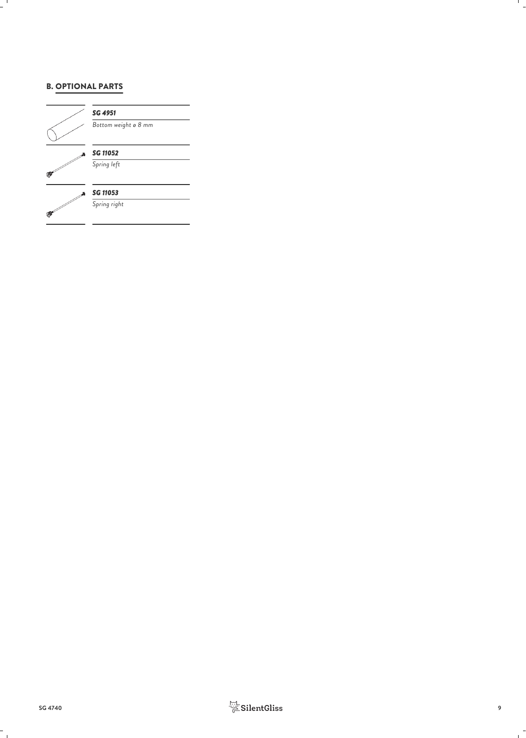### B. OPTIONAL PARTS

![](_page_8_Figure_1.jpeg)

### *SG 4951 Bottom weight ø 8 mm*

### *SG 11052*

*Spring left*

### *SG 11053*

*Spring right*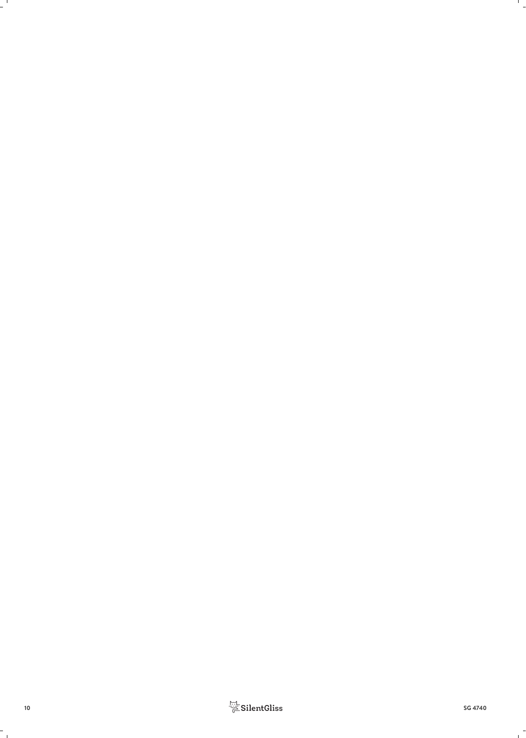![](_page_9_Picture_0.jpeg)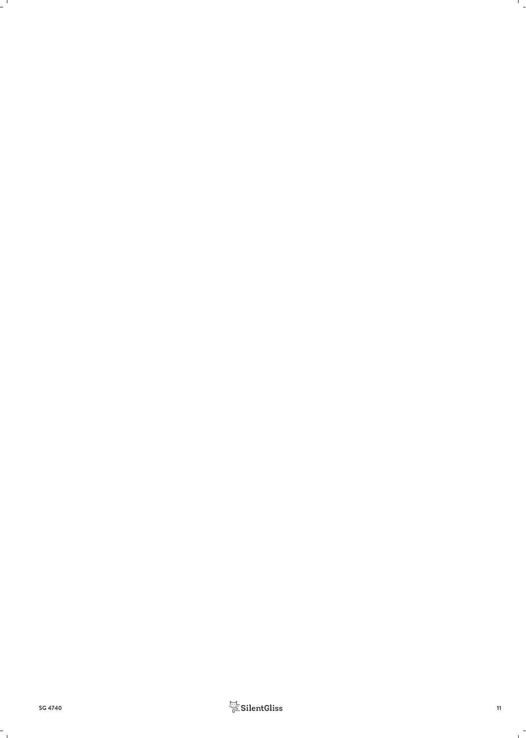![](_page_10_Picture_1.jpeg)